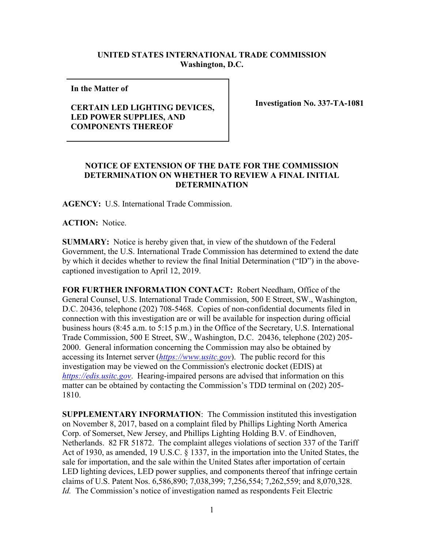## **UNITED STATES INTERNATIONAL TRADE COMMISSION Washington, D.C.**

**In the Matter of** 

## **CERTAIN LED LIGHTING DEVICES, LED POWER SUPPLIES, AND COMPONENTS THEREOF**

**Investigation No. 337-TA-1081**

## **NOTICE OF EXTENSION OF THE DATE FOR THE COMMISSION DETERMINATION ON WHETHER TO REVIEW A FINAL INITIAL DETERMINATION**

**AGENCY:** U.S. International Trade Commission.

**ACTION:** Notice.

**SUMMARY:** Notice is hereby given that, in view of the shutdown of the Federal Government, the U.S. International Trade Commission has determined to extend the date by which it decides whether to review the final Initial Determination ("ID") in the abovecaptioned investigation to April 12, 2019.

**FOR FURTHER INFORMATION CONTACT:** Robert Needham, Office of the General Counsel, U.S. International Trade Commission, 500 E Street, SW., Washington, D.C. 20436, telephone (202) 708-5468. Copies of non-confidential documents filed in connection with this investigation are or will be available for inspection during official business hours (8:45 a.m. to 5:15 p.m.) in the Office of the Secretary, U.S. International Trade Commission, 500 E Street, SW., Washington, D.C. 20436, telephone (202) 205- 2000. General information concerning the Commission may also be obtained by accessing its Internet server (*[https://www.usitc.gov](https://www.usitc.gov/)*). The public record for this investigation may be viewed on the Commission's electronic docket (EDIS) at *[https://edis.usitc.gov](https://edis.usitc.gov/)*. Hearing-impaired persons are advised that information on this matter can be obtained by contacting the Commission's TDD terminal on (202) 205- 1810.

**SUPPLEMENTARY INFORMATION**: The Commission instituted this investigation on November 8, 2017, based on a complaint filed by Phillips Lighting North America Corp. of Somerset, New Jersey, and Phillips Lighting Holding B.V. of Eindhoven, Netherlands. 82 FR 51872. The complaint alleges violations of section 337 of the Tariff Act of 1930, as amended, 19 U.S.C. § 1337, in the importation into the United States, the sale for importation, and the sale within the United States after importation of certain LED lighting devices, LED power supplies, and components thereof that infringe certain claims of U.S. Patent Nos. 6,586,890; 7,038,399; 7,256,554; 7,262,559; and 8,070,328. *Id.* The Commission's notice of investigation named as respondents Feit Electric